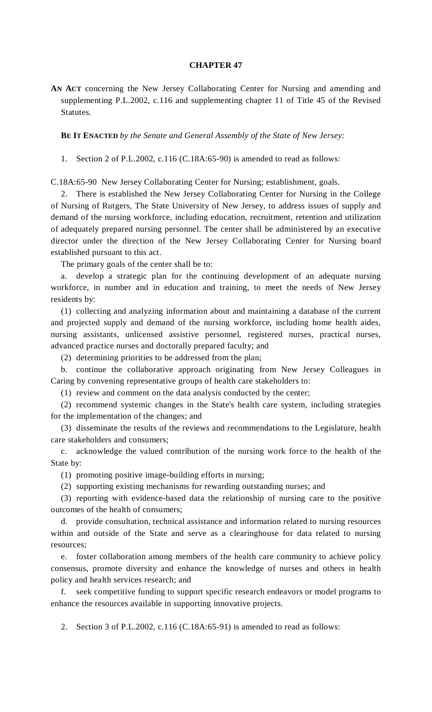## **CHAPTER 47**

**AN ACT** concerning the New Jersey Collaborating Center for Nursing and amending and supplementing P.L.2002, c.116 and supplementing chapter 11 of Title 45 of the Revised Statutes.

**BE IT ENACTED** *by the Senate and General Assembly of the State of New Jersey:*

1. Section 2 of P.L.2002, c.116 (C.18A:65-90) is amended to read as follows:

C.18A:65-90 New Jersey Collaborating Center for Nursing; establishment, goals.

 2. There is established the New Jersey Collaborating Center for Nursing in the College of Nursing of Rutgers, The State University of New Jersey, to address issues of supply and demand of the nursing workforce, including education, recruitment, retention and utilization of adequately prepared nursing personnel. The center shall be administered by an executive director under the direction of the New Jersey Collaborating Center for Nursing board established pursuant to this act.

The primary goals of the center shall be to:

 a. develop a strategic plan for the continuing development of an adequate nursing workforce, in number and in education and training, to meet the needs of New Jersey residents by:

 (1) collecting and analyzing information about and maintaining a database of the current and projected supply and demand of the nursing workforce, including home health aides, nursing assistants, unlicensed assistive personnel, registered nurses, practical nurses, advanced practice nurses and doctorally prepared faculty; and

(2) determining priorities to be addressed from the plan;

 b. continue the collaborative approach originating from New Jersey Colleagues in Caring by convening representative groups of health care stakeholders to:

(1) review and comment on the data analysis conducted by the center;

 (2) recommend systemic changes in the State's health care system, including strategies for the implementation of the changes; and

 (3) disseminate the results of the reviews and recommendations to the Legislature, health care stakeholders and consumers;

 c. acknowledge the valued contribution of the nursing work force to the health of the State by:

(1) promoting positive image-building efforts in nursing;

(2) supporting existing mechanisms for rewarding outstanding nurses; and

 (3) reporting with evidence-based data the relationship of nursing care to the positive outcomes of the health of consumers;

 d. provide consultation, technical assistance and information related to nursing resources within and outside of the State and serve as a clearinghouse for data related to nursing resources;

 e. foster collaboration among members of the health care community to achieve policy consensus, promote diversity and enhance the knowledge of nurses and others in health policy and health services research; and

 f. seek competitive funding to support specific research endeavors or model programs to enhance the resources available in supporting innovative projects.

2. Section 3 of P.L.2002, c.116 (C.18A:65-91) is amended to read as follows: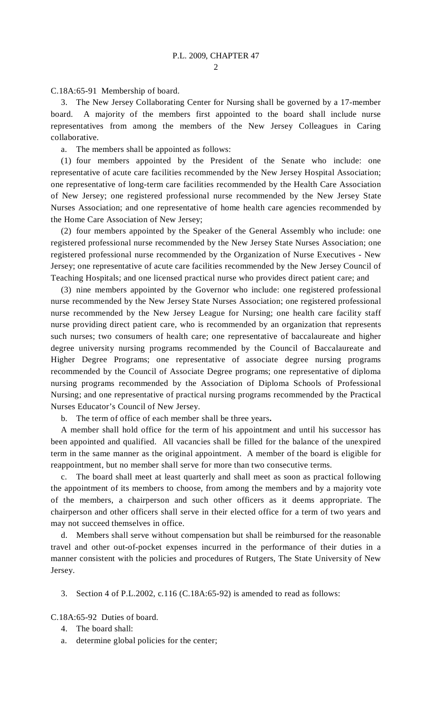C.18A:65-91 Membership of board.

 3. The New Jersey Collaborating Center for Nursing shall be governed by a 17-member board. A majority of the members first appointed to the board shall include nurse representatives from among the members of the New Jersey Colleagues in Caring collaborative.

a. The members shall be appointed as follows:

 (1) four members appointed by the President of the Senate who include: one representative of acute care facilities recommended by the New Jersey Hospital Association; one representative of long-term care facilities recommended by the Health Care Association of New Jersey; one registered professional nurse recommended by the New Jersey State Nurses Association; and one representative of home health care agencies recommended by the Home Care Association of New Jersey;

 (2) four members appointed by the Speaker of the General Assembly who include: one registered professional nurse recommended by the New Jersey State Nurses Association; one registered professional nurse recommended by the Organization of Nurse Executives - New Jersey; one representative of acute care facilities recommended by the New Jersey Council of Teaching Hospitals; and one licensed practical nurse who provides direct patient care; and

 (3) nine members appointed by the Governor who include: one registered professional nurse recommended by the New Jersey State Nurses Association; one registered professional nurse recommended by the New Jersey League for Nursing; one health care facility staff nurse providing direct patient care, who is recommended by an organization that represents such nurses; two consumers of health care; one representative of baccalaureate and higher degree university nursing programs recommended by the Council of Baccalaureate and Higher Degree Programs; one representative of associate degree nursing programs recommended by the Council of Associate Degree programs; one representative of diploma nursing programs recommended by the Association of Diploma Schools of Professional Nursing; and one representative of practical nursing programs recommended by the Practical Nurses Educator's Council of New Jersey.

b. The term of office of each member shall be three years**.**

 A member shall hold office for the term of his appointment and until his successor has been appointed and qualified. All vacancies shall be filled for the balance of the unexpired term in the same manner as the original appointment. A member of the board is eligible for reappointment, but no member shall serve for more than two consecutive terms.

 c. The board shall meet at least quarterly and shall meet as soon as practical following the appointment of its members to choose, from among the members and by a majority vote of the members, a chairperson and such other officers as it deems appropriate. The chairperson and other officers shall serve in their elected office for a term of two years and may not succeed themselves in office.

 d. Members shall serve without compensation but shall be reimbursed for the reasonable travel and other out-of-pocket expenses incurred in the performance of their duties in a manner consistent with the policies and procedures of Rutgers, The State University of New Jersey.

3. Section 4 of P.L.2002, c.116 (C.18A:65-92) is amended to read as follows:

C.18A:65-92 Duties of board.

- 4. The board shall:
- a. determine global policies for the center;